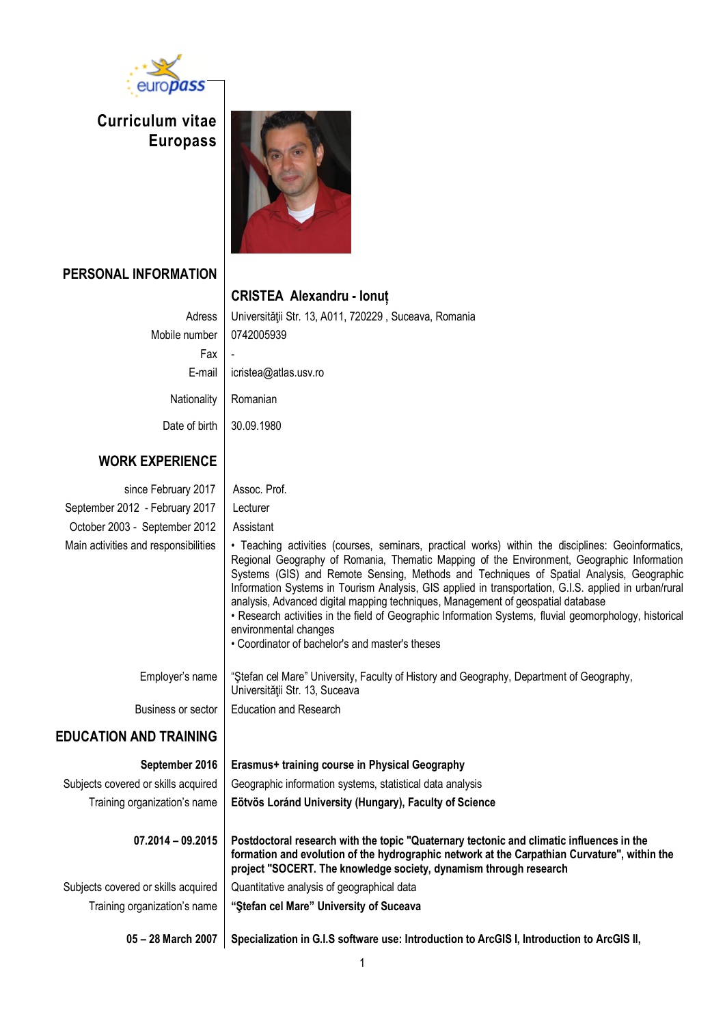

**Curriculum vitae Europass** 



## **PERSONAL INFORMATION**

## **CRISTEA Alexandru - Ionuț** Adress | Universității Str. 13, A011, 720229 , Suceava, Romania Mobile number | 0742005939 Fax E-mail icristea@atlas.usv.ro Nationality | Romanian Date of birth 30.09.1980 **WORK EXPERIENCE**

## since February 2017 | Assoc. Prof. September 2012 - February 2017 Lecturer October 2003 - September 2012 | Assistant Main activities and responsibilities  $\|\cdot\|$  Teaching activities (courses, seminars, practical works) within the disciplines: Geoinformatics, Regional Geography of Romania, Thematic Mapping of the Environment, Geographic Information Systems (GIS) and Remote Sensing, Methods and Techniques of Spatial Analysis, Geographic Information Systems in Tourism Analysis, GIS applied in transportation, G.I.S. applied in urban/rural analysis, Advanced digital mapping techniques, Management of geospatial database • Research activities in the field of Geographic Information Systems, fluvial geomorphology, historical environmental changes • Coordinator of bachelor's and master's theses Employer's name "Ştefan cel Mare" University, Faculty of History and Geography, Department of Geography, Universității Str. 13, Suceava Business or sector | Education and Research **EDUCATION AND TRAINING September 2016 Erasmus+ training course in Physical Geography** Subjects covered or skills acquired  $\parallel$  Geographic information systems, statistical data analysis Training organization's name **Eötvös Loránd University (Hungary), Faculty of Science 07.2014 – 09.2015 Postdoctoral research with the topic "Quaternary tectonic and climatic influences in the formation and evolution of the hydrographic network at the Carpathian Curvature", within the project "SOCERT. The knowledge society, dynamism through research**

Subjects covered or skills acquired  $\parallel$  Quantitative analysis of geographical data

Training organization's name **"Ştefan cel Mare" University of Suceava**

**05 – 28 March 2007 Specialization in G.I.S software use: Introduction to ArcGIS I, Introduction to ArcGIS II,**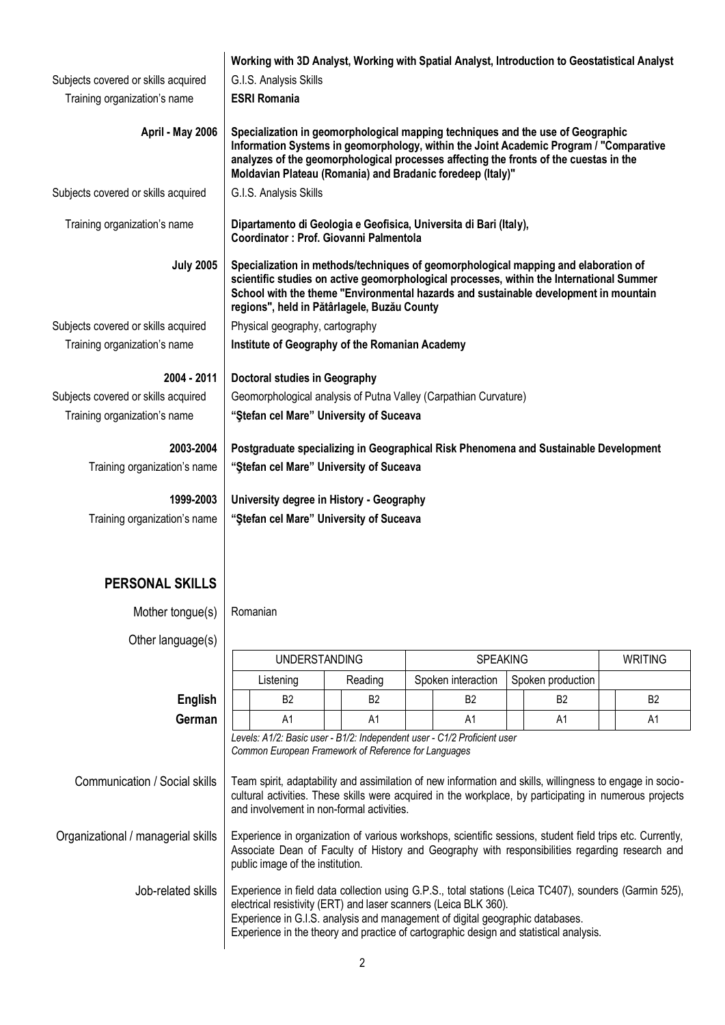|                                     | Working with 3D Analyst, Working with Spatial Analyst, Introduction to Geostatistical Analyst                                                                                                                                                                                                                                    |  |  |  |  |  |
|-------------------------------------|----------------------------------------------------------------------------------------------------------------------------------------------------------------------------------------------------------------------------------------------------------------------------------------------------------------------------------|--|--|--|--|--|
| Subjects covered or skills acquired | G.I.S. Analysis Skills                                                                                                                                                                                                                                                                                                           |  |  |  |  |  |
| Training organization's name        | <b>ESRI Romania</b>                                                                                                                                                                                                                                                                                                              |  |  |  |  |  |
| April - May 2006                    | Specialization in geomorphological mapping techniques and the use of Geographic<br>Information Systems in geomorphology, within the Joint Academic Program / "Comparative<br>analyzes of the geomorphological processes affecting the fronts of the cuestas in the<br>Moldavian Plateau (Romania) and Bradanic foredeep (Italy)" |  |  |  |  |  |
| Subjects covered or skills acquired | G.I.S. Analysis Skills                                                                                                                                                                                                                                                                                                           |  |  |  |  |  |
| Training organization's name        | Dipartamento di Geologia e Geofisica, Universita di Bari (Italy),<br>Coordinator : Prof. Giovanni Palmentola                                                                                                                                                                                                                     |  |  |  |  |  |
| <b>July 2005</b>                    | Specialization in methods/techniques of geomorphological mapping and elaboration of<br>scientific studies on active geomorphological processes, within the International Summer<br>School with the theme "Environmental hazards and sustainable development in mountain<br>regions", held in Pătârlagele, Buzău County           |  |  |  |  |  |
| Subjects covered or skills acquired | Physical geography, cartography                                                                                                                                                                                                                                                                                                  |  |  |  |  |  |
| Training organization's name        | Institute of Geography of the Romanian Academy                                                                                                                                                                                                                                                                                   |  |  |  |  |  |
| 2004 - 2011                         | <b>Doctoral studies in Geography</b>                                                                                                                                                                                                                                                                                             |  |  |  |  |  |
| Subjects covered or skills acquired | Geomorphological analysis of Putna Valley (Carpathian Curvature)                                                                                                                                                                                                                                                                 |  |  |  |  |  |
| Training organization's name        | "Stefan cel Mare" University of Suceava                                                                                                                                                                                                                                                                                          |  |  |  |  |  |
|                                     |                                                                                                                                                                                                                                                                                                                                  |  |  |  |  |  |
| 2003-2004                           | Postgraduate specializing in Geographical Risk Phenomena and Sustainable Development                                                                                                                                                                                                                                             |  |  |  |  |  |
| Training organization's name        | "Stefan cel Mare" University of Suceava                                                                                                                                                                                                                                                                                          |  |  |  |  |  |
| 1999-2003                           | University degree in History - Geography                                                                                                                                                                                                                                                                                         |  |  |  |  |  |
| Training organization's name        | "Stefan cel Mare" University of Suceava                                                                                                                                                                                                                                                                                          |  |  |  |  |  |
|                                     |                                                                                                                                                                                                                                                                                                                                  |  |  |  |  |  |
|                                     |                                                                                                                                                                                                                                                                                                                                  |  |  |  |  |  |
| <b>PERSONAL SKILLS</b>              |                                                                                                                                                                                                                                                                                                                                  |  |  |  |  |  |
| Mother tongue(s)                    | Romanian                                                                                                                                                                                                                                                                                                                         |  |  |  |  |  |
|                                     |                                                                                                                                                                                                                                                                                                                                  |  |  |  |  |  |
| Other language(s)                   |                                                                                                                                                                                                                                                                                                                                  |  |  |  |  |  |

|                                    | UNDERSTANDING                                                                                                                                                                                                                                                                                                                                         |                |  | <b>SPEAKING</b> |  |                    |  |                   | WRITING |                |
|------------------------------------|-------------------------------------------------------------------------------------------------------------------------------------------------------------------------------------------------------------------------------------------------------------------------------------------------------------------------------------------------------|----------------|--|-----------------|--|--------------------|--|-------------------|---------|----------------|
|                                    |                                                                                                                                                                                                                                                                                                                                                       | Listening      |  | Reading         |  | Spoken interaction |  | Spoken production |         |                |
| English                            |                                                                                                                                                                                                                                                                                                                                                       | <b>B2</b>      |  | B <sub>2</sub>  |  | B <sub>2</sub>     |  | B <sub>2</sub>    |         | B <sub>2</sub> |
| German                             |                                                                                                                                                                                                                                                                                                                                                       | A <sub>1</sub> |  | A <sub>1</sub>  |  | A1                 |  | A <sub>1</sub>    |         | A <sub>1</sub> |
|                                    | Levels: A1/2: Basic user - B1/2: Independent user - C1/2 Proficient user<br>Common European Framework of Reference for Languages                                                                                                                                                                                                                      |                |  |                 |  |                    |  |                   |         |                |
| Communication / Social skills      | Team spirit, adaptability and assimilation of new information and skills, willingness to engage in socio-<br>cultural activities. These skills were acquired in the workplace, by participating in numerous projects<br>and involvement in non-formal activities.                                                                                     |                |  |                 |  |                    |  |                   |         |                |
| Organizational / managerial skills | Experience in organization of various workshops, scientific sessions, student field trips etc. Currently,<br>Associate Dean of Faculty of History and Geography with responsibilities regarding research and<br>public image of the institution.                                                                                                      |                |  |                 |  |                    |  |                   |         |                |
| Job-related skills                 | Experience in field data collection using G.P.S., total stations (Leica TC407), sounders (Garmin 525),<br>electrical resistivity (ERT) and laser scanners (Leica BLK 360).<br>Experience in G.I.S. analysis and management of digital geographic databases.<br>Experience in the theory and practice of cartographic design and statistical analysis. |                |  |                 |  |                    |  |                   |         |                |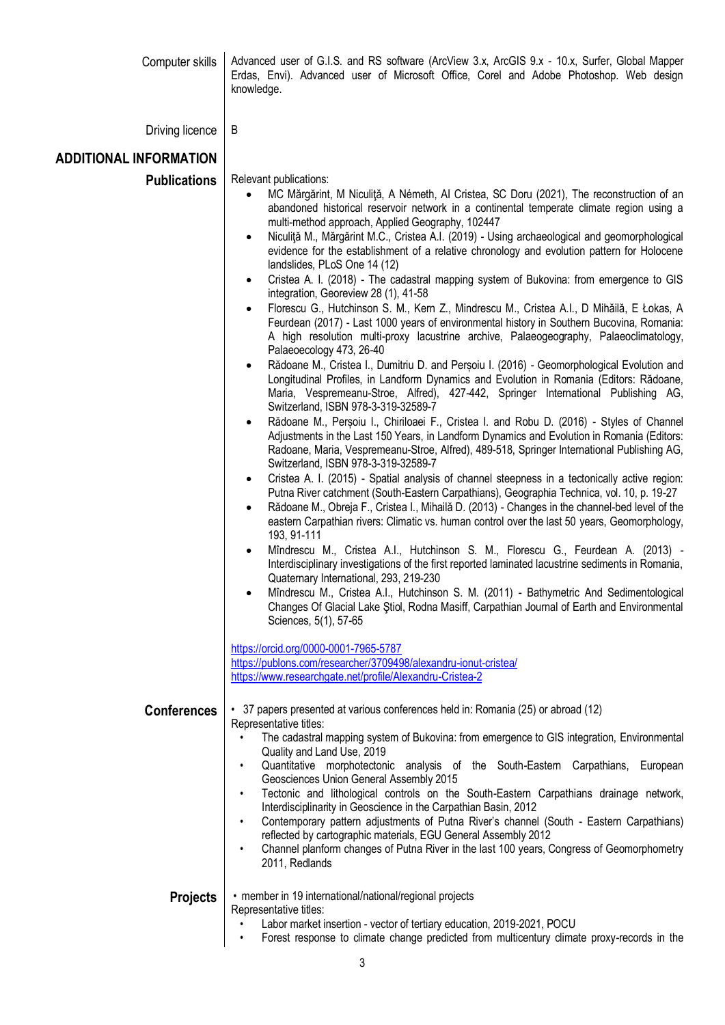| Computer skills               | Advanced user of G.I.S. and RS software (ArcView 3.x, ArcGIS 9.x - 10.x, Surfer, Global Mapper<br>Erdas, Envi). Advanced user of Microsoft Office, Corel and Adobe Photoshop. Web design<br>knowledge.                                                                                                                                                                                                                                                                                                                                                                                                                                                                                                                                                                                                                                                                                                                                                                                                                                                                                                                                                                                                                                                                                                                                                                                                                                                                                                                                                                                                                                                                                                                                                                                                                                                                                                                                                                                                                                                                                                                                                                                                                                                                                                                                                                                                                                                                                                                           |  |  |  |  |  |
|-------------------------------|----------------------------------------------------------------------------------------------------------------------------------------------------------------------------------------------------------------------------------------------------------------------------------------------------------------------------------------------------------------------------------------------------------------------------------------------------------------------------------------------------------------------------------------------------------------------------------------------------------------------------------------------------------------------------------------------------------------------------------------------------------------------------------------------------------------------------------------------------------------------------------------------------------------------------------------------------------------------------------------------------------------------------------------------------------------------------------------------------------------------------------------------------------------------------------------------------------------------------------------------------------------------------------------------------------------------------------------------------------------------------------------------------------------------------------------------------------------------------------------------------------------------------------------------------------------------------------------------------------------------------------------------------------------------------------------------------------------------------------------------------------------------------------------------------------------------------------------------------------------------------------------------------------------------------------------------------------------------------------------------------------------------------------------------------------------------------------------------------------------------------------------------------------------------------------------------------------------------------------------------------------------------------------------------------------------------------------------------------------------------------------------------------------------------------------------------------------------------------------------------------------------------------------|--|--|--|--|--|
| Driving licence               | B                                                                                                                                                                                                                                                                                                                                                                                                                                                                                                                                                                                                                                                                                                                                                                                                                                                                                                                                                                                                                                                                                                                                                                                                                                                                                                                                                                                                                                                                                                                                                                                                                                                                                                                                                                                                                                                                                                                                                                                                                                                                                                                                                                                                                                                                                                                                                                                                                                                                                                                                |  |  |  |  |  |
| <b>ADDITIONAL INFORMATION</b> |                                                                                                                                                                                                                                                                                                                                                                                                                                                                                                                                                                                                                                                                                                                                                                                                                                                                                                                                                                                                                                                                                                                                                                                                                                                                                                                                                                                                                                                                                                                                                                                                                                                                                                                                                                                                                                                                                                                                                                                                                                                                                                                                                                                                                                                                                                                                                                                                                                                                                                                                  |  |  |  |  |  |
| <b>Publications</b>           | Relevant publications:<br>MC Mărgărint, M Niculiță, A Németh, Al Cristea, SC Doru (2021), The reconstruction of an<br>$\bullet$<br>abandoned historical reservoir network in a continental temperate climate region using a<br>multi-method approach, Applied Geography, 102447<br>Niculiță M., Mărgărint M.C., Cristea A.I. (2019) - Using archaeological and geomorphological<br>$\bullet$<br>evidence for the establishment of a relative chronology and evolution pattern for Holocene<br>landslides, PLoS One 14 (12)<br>Cristea A. I. (2018) - The cadastral mapping system of Bukovina: from emergence to GIS<br>integration, Georeview 28 (1), 41-58<br>Florescu G., Hutchinson S. M., Kern Z., Mindrescu M., Cristea A.I., D Mihăilă, E Łokas, A<br>Feurdean (2017) - Last 1000 years of environmental history in Southern Bucovina, Romania:<br>A high resolution multi-proxy lacustrine archive, Palaeogeography, Palaeoclimatology,<br>Palaeoecology 473, 26-40<br>Rădoane M., Cristea I., Dumitriu D. and Perșoiu I. (2016) - Geomorphological Evolution and<br>Longitudinal Profiles, in Landform Dynamics and Evolution in Romania (Editors: Rădoane,<br>Maria, Vespremeanu-Stroe, Alfred), 427-442, Springer International Publishing AG,<br>Switzerland, ISBN 978-3-319-32589-7<br>Rădoane M., Perșoiu I., Chiriloaei F., Cristea I. and Robu D. (2016) - Styles of Channel<br>Adjustments in the Last 150 Years, in Landform Dynamics and Evolution in Romania (Editors:<br>Radoane, Maria, Vespremeanu-Stroe, Alfred), 489-518, Springer International Publishing AG,<br>Switzerland, ISBN 978-3-319-32589-7<br>Cristea A. I. (2015) - Spatial analysis of channel steepness in a tectonically active region:<br>٠<br>Putna River catchment (South-Eastern Carpathians), Geographia Technica, vol. 10, p. 19-27<br>Rădoane M., Obreja F., Cristea I., Mihailă D. (2013) - Changes in the channel-bed level of the<br>$\bullet$<br>eastern Carpathian rivers: Climatic vs. human control over the last 50 years, Geomorphology,<br>193, 91-111<br>Mîndrescu M., Cristea A.I., Hutchinson S. M., Florescu G., Feurdean A. (2013) -<br>$\bullet$<br>Interdisciplinary investigations of the first reported laminated lacustrine sediments in Romania,<br>Quaternary International, 293, 219-230<br>Mîndrescu M., Cristea A.I., Hutchinson S. M. (2011) - Bathymetric And Sedimentological<br>Changes Of Glacial Lake Stiol, Rodna Masiff, Carpathian Journal of Earth and Environmental<br>Sciences, 5(1), 57-65 |  |  |  |  |  |
|                               | https://orcid.org/0000-0001-7965-5787<br>https://publons.com/researcher/3709498/alexandru-ionut-cristea/<br>https://www.researchgate.net/profile/Alexandru-Cristea-2                                                                                                                                                                                                                                                                                                                                                                                                                                                                                                                                                                                                                                                                                                                                                                                                                                                                                                                                                                                                                                                                                                                                                                                                                                                                                                                                                                                                                                                                                                                                                                                                                                                                                                                                                                                                                                                                                                                                                                                                                                                                                                                                                                                                                                                                                                                                                             |  |  |  |  |  |
| <b>Conferences</b>            | • 37 papers presented at various conferences held in: Romania (25) or abroad (12)<br>Representative titles:<br>The cadastral mapping system of Bukovina: from emergence to GIS integration, Environmental<br>Quality and Land Use, 2019<br>Quantitative morphotectonic analysis of the South-Eastern Carpathians, European<br>$\bullet$<br>Geosciences Union General Assembly 2015<br>Tectonic and lithological controls on the South-Eastern Carpathians drainage network,<br>$\bullet$<br>Interdisciplinarity in Geoscience in the Carpathian Basin, 2012<br>Contemporary pattern adjustments of Putna River's channel (South - Eastern Carpathians)<br>٠<br>reflected by cartographic materials, EGU General Assembly 2012<br>Channel planform changes of Putna River in the last 100 years, Congress of Geomorphometry<br>$\bullet$<br>2011, Redlands                                                                                                                                                                                                                                                                                                                                                                                                                                                                                                                                                                                                                                                                                                                                                                                                                                                                                                                                                                                                                                                                                                                                                                                                                                                                                                                                                                                                                                                                                                                                                                                                                                                                        |  |  |  |  |  |
| <b>Projects</b>               | • member in 19 international/national/regional projects<br>Representative titles:<br>Labor market insertion - vector of tertiary education, 2019-2021, POCU<br>$\bullet$<br>Forest response to climate change predicted from multicentury climate proxy-records in the<br>$\bullet$                                                                                                                                                                                                                                                                                                                                                                                                                                                                                                                                                                                                                                                                                                                                                                                                                                                                                                                                                                                                                                                                                                                                                                                                                                                                                                                                                                                                                                                                                                                                                                                                                                                                                                                                                                                                                                                                                                                                                                                                                                                                                                                                                                                                                                              |  |  |  |  |  |